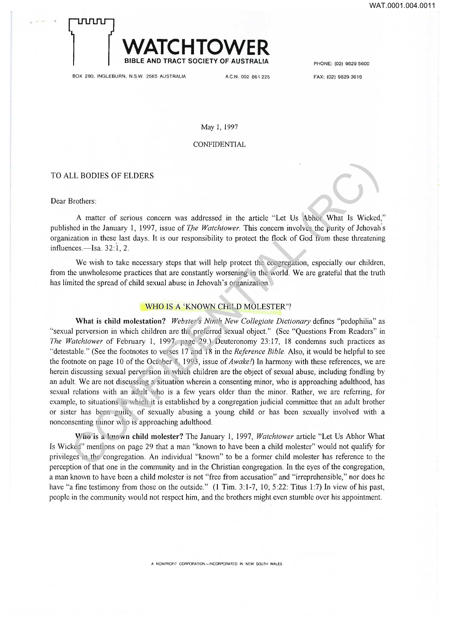# **WATCHTOWER**

BOX 280, INGLEBURN, N.S.W. 2565 AUSTRALIA A.C.N. 002 861 225

PHONE: (02) 9829 5600

FAX: (02) 9829 3616

May 1, 1997

BIBLE AND TRACT SOCIETY OF AUSTRALIA

CONFIDENTIAL

#### TO ALL BODIES OF ELDERS

j~TjmrLr-j

Dear Brothers:

A matter of serious concern was addressed in the article "Let Us Abhor What Is Wicked," published in the January 1, 1997, issue of *The Watchtower*. This concern involves the purity of Jehovah's organization in these last days. It is our responsibility to protect the flock of God from these threatening influences.—Isa. 32:1, 2.

We wish to take necessary steps that will help protect the congregation, especially our children, from the unwholesome practices that are constantly worsening in the world. We are grateful that the truth has limited the spread of child sexual abuse in Jehovah's organization.

### WHO IS A 'KNOWN CHILD MOLESTER'?

What is child molestation? Webster's Ninth New Collegiate Dictionary defines "pedophilia" as "sexual perversion in which children are the preferred sexual object." (See "Questions From Readers" in *The Watchtower* of February 1, 1997. page 29.) Deuteronomy 23:17, 18 condemns such practices as "detestable." (See the footnotes to verses 17 and 18 in the *Reference Bible*. Also, it would be helpful to see the footnote on page 10 of the October 8, 1993, issue of *Awake!*) In harmony with these references, we are herein discussing sexual perversion in which children are the object of sexual abuse, including fondling by an adult. We are not discussing a situation wherein a consenting minor, who is approaching adulthood, has sexual relations with an adult who is a few years older than the minor. Rather, we are referring, for example, to situations in which it is established by a congregation judicial committee that an adult brother or sister has been guilty of sexually abusing a young child or has been sexually involved with a nonconsenting minor who is approaching adulthood. LL BODIES OF ELDERS<br>
Aratter of serious concern was addressed in the article "Let Us Abhor What Is Wicked,<br>
hed in the January 1, 1997, issue of *The Watchlower*. This concern involves the purity of Jchovah's<br>
ratio in th

**Who is** a **known child molester ?** The January 1, 1997, *Watchtower* article "Let Us Abhor What Is Wicked" mentions on page 29 that a man "known to have been a child molester" wou ld not qualify for privileges in the congregation. An individual "known" to be a former child molester has reference to the perception of that one in the community and in the Christian congregation. In the eyes of the congregation, a man known to have been a child molester is not "free from accusation" and "irreprehensible," nor does he have "a fine testimony from those on the outside." (1 Tim. 3:1-7, 10; 5:22: Titus 1:7) In view of his past, people in the community would not respect him, and the brothers might even stumble over his appointment.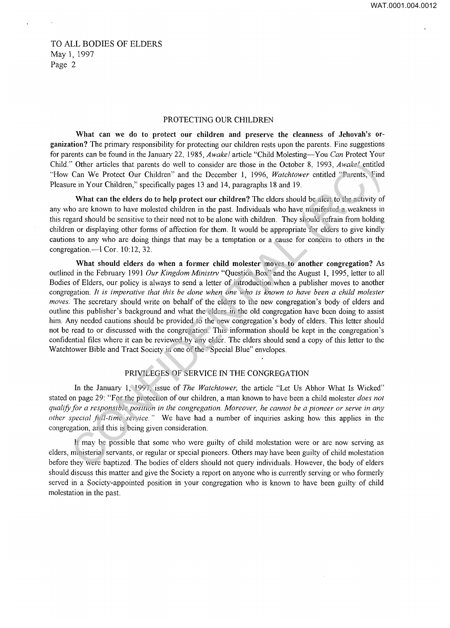TO ALL BODIES OF ELDERS May 1, 1997 Page 2

## PROTECTING OUR CHILDREN

**What can we do to protect our children and preserve the cleanness of Jehovah's organization?** The primary responsibility for protecting our children rests upon the parents. Fine suggestions for parents can be found in the January 22, 1985, *Awake!* article "Child Molesting—You *Can* Protect Your Child." Other articles that parents do well to consider are those in the October 8, 1993, *Awake!* entitled "How Can We Protect Our Children" and the December 1, 1996, *Watchtower* entitled "Parents, Find Pleasure in Your Children," specifically pages 13 and 14, paragraphs 18 and 19.

What can the elders do to help protect our children? The elders should be alert to the activity of any who are known to have molested children in the past. Individuals who have manifested a weakness in this regard should be sensitive to their need not to be alone with children. They should refrain from holding children or displaying other forms of affection for them. It would be appropriate for elders to give kindly cautions to any who are doing things that may be a temptation or a cause for concern to others in the congregation.—1 Cor. 10:12, 32.

**What should elders do when a former child molester moves to another congregation?** As outlined in the February 1991 Our Kingdom Ministry "Question Box" and the August 1, 1995, letter to all Bodies of Elders, our policy is always to send a letter of introduction when a publisher moves to another congregation. *It is imperative that this be done when one who is known to have been a child molester moves.* The secretary should write on behalf of the elders to the new congregation's body of elders and outline this publisher's background and what the elders in the old congregation have been doing to assist him. Any needed cautions should be provided to the new congregation's body of elders. This letter should not be read to or discussed with the congregation. This information should be kept in the congregation's confidential files where it can be reviewed by any elder. The elders should send a copy of this letter to the Watchtower Bible and Tract Society in one of the "Special Blue" envelopes. " Other articles that parents do well to consider are those in the October 8, 1993, *Awakel* entitled Can We Protect Our Childler" and the December 1, 1996, *Wachthower* entitled "Parents, Find the Trotect Our Childler" a

#### PRIVILEGES OF SERVICE IN THE CONGREGATION

In the January 1, 1997, issue of *The Watchtower,* the article "Let Us Abhor What Is Wicked" stated on page 29: "For the protection of our children, a man known to have been a child molester *does not qualify for a responsible position in the congregation. Moreover, he cannot be a pioneer or serve in any other special full-time service. "* We have had a number of inquiries asking how this applies in the congregation, and this is being given consideration.

It may be possible that some who were guilty of child molestation were or are now serving as elders, ministerial servants, or regular or special pioneers. Others may have been guilty of child molestation before they were baptized. The bodies of elders should not query individuals. However, the body of elders should discuss this matter and give the Society a report on anyone who is currently serving or who formerly served in a Society-appointed position in your congregation who is known to have been guilty of child molestation in the past.